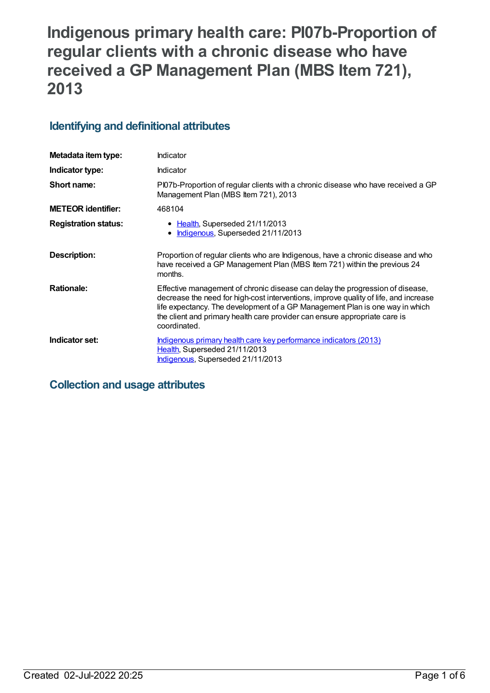# **Indigenous primary health care: PI07b-Proportion of regular clients with a chronic disease who have received a GP Management Plan (MBS Item 721), 2013**

## **Identifying and definitional attributes**

| Metadata item type:         | Indicator                                                                                                                                                                                                                                                                                                                                           |
|-----------------------------|-----------------------------------------------------------------------------------------------------------------------------------------------------------------------------------------------------------------------------------------------------------------------------------------------------------------------------------------------------|
| Indicator type:             | Indicator                                                                                                                                                                                                                                                                                                                                           |
| Short name:                 | Pl07b-Proportion of regular clients with a chronic disease who have received a GP<br>Management Plan (MBS Item 721), 2013                                                                                                                                                                                                                           |
| <b>METEOR identifier:</b>   | 468104                                                                                                                                                                                                                                                                                                                                              |
| <b>Registration status:</b> | • Health, Superseded 21/11/2013<br>Indigenous, Superseded 21/11/2013                                                                                                                                                                                                                                                                                |
| Description:                | Proportion of regular clients who are Indigenous, have a chronic disease and who<br>have received a GP Management Plan (MBS Item 721) within the previous 24<br>months.                                                                                                                                                                             |
| <b>Rationale:</b>           | Effective management of chronic disease can delay the progression of disease,<br>decrease the need for high-cost interventions, improve quality of life, and increase<br>life expectancy. The development of a GP Management Plan is one way in which<br>the client and primary health care provider can ensure appropriate care is<br>coordinated. |
| Indicator set:              | Indigenous primary health care key performance indicators (2013)<br>Health, Superseded 21/11/2013<br>Indigenous, Superseded 21/11/2013                                                                                                                                                                                                              |

## **Collection and usage attributes**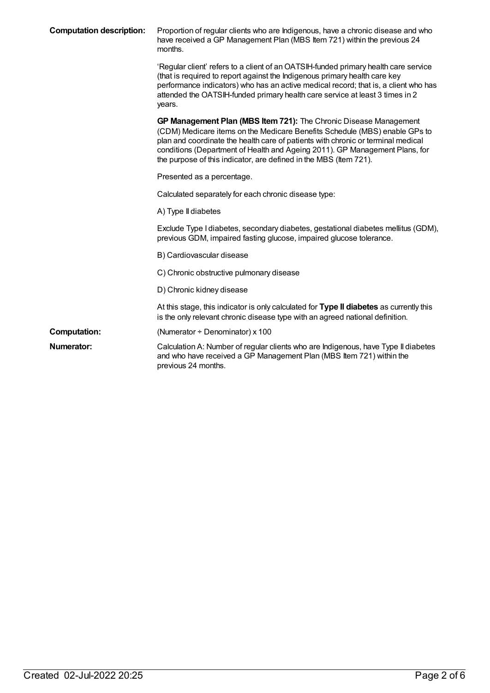| <b>Computation description:</b> | Proportion of regular clients who are Indigenous, have a chronic disease and who<br>have received a GP Management Plan (MBS Item 721) within the previous 24<br>months.                                                                                                                                                                                                                 |
|---------------------------------|-----------------------------------------------------------------------------------------------------------------------------------------------------------------------------------------------------------------------------------------------------------------------------------------------------------------------------------------------------------------------------------------|
|                                 | 'Regular client' refers to a client of an OATSIH-funded primary health care service<br>(that is required to report against the Indigenous primary health care key<br>performance indicators) who has an active medical record; that is, a client who has<br>attended the OATSIH-funded primary health care service at least 3 times in 2<br>years.                                      |
|                                 | GP Management Plan (MBS Item 721): The Chronic Disease Management<br>(CDM) Medicare items on the Medicare Benefits Schedule (MBS) enable GPs to<br>plan and coordinate the health care of patients with chronic or terminal medical<br>conditions (Department of Health and Ageing 2011). GP Management Plans, for<br>the purpose of this indicator, are defined in the MBS (Item 721). |
|                                 | Presented as a percentage.                                                                                                                                                                                                                                                                                                                                                              |
|                                 | Calculated separately for each chronic disease type:                                                                                                                                                                                                                                                                                                                                    |
|                                 | A) Type II diabetes                                                                                                                                                                                                                                                                                                                                                                     |
|                                 | Exclude Type I diabetes, secondary diabetes, gestational diabetes mellitus (GDM),<br>previous GDM, impaired fasting glucose, impaired glucose tolerance.                                                                                                                                                                                                                                |
|                                 | B) Cardiovascular disease                                                                                                                                                                                                                                                                                                                                                               |
|                                 | C) Chronic obstructive pulmonary disease                                                                                                                                                                                                                                                                                                                                                |
|                                 | D) Chronic kidney disease                                                                                                                                                                                                                                                                                                                                                               |
|                                 | At this stage, this indicator is only calculated for Type II diabetes as currently this<br>is the only relevant chronic disease type with an agreed national definition.                                                                                                                                                                                                                |
| <b>Computation:</b>             | (Numerator $\div$ Denominator) x 100                                                                                                                                                                                                                                                                                                                                                    |
| <b>Numerator:</b>               | Calculation A: Number of regular clients who are Indigenous, have Type II diabetes<br>and who have received a GP Management Plan (MBS Item 721) within the<br>previous 24 months.                                                                                                                                                                                                       |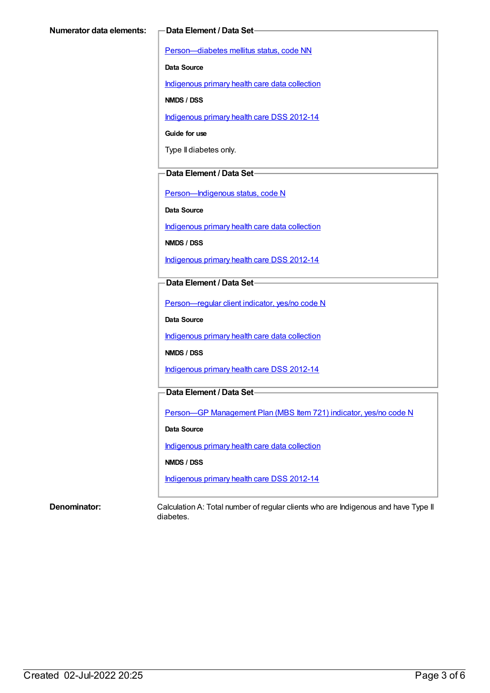[Person—diabetes](https://meteor.aihw.gov.au/content/270194) mellitus status, code NN

**Data Source**

[Indigenous](https://meteor.aihw.gov.au/content/430643) primary health care data collection

**NMDS / DSS**

[Indigenous](https://meteor.aihw.gov.au/content/430629) primary health care DSS 2012-14

**Guide for use**

Type II diabetes only.

#### **Data Element / Data Set**

[Person—Indigenous](https://meteor.aihw.gov.au/content/291036) status, code N

**Data Source**

[Indigenous](https://meteor.aihw.gov.au/content/430643) primary health care data collection

**NMDS / DSS**

[Indigenous](https://meteor.aihw.gov.au/content/430629) primary health care DSS 2012-14

#### **Data Element / Data Set**

[Person—regular](https://meteor.aihw.gov.au/content/436639) client indicator, yes/no code N

**Data Source**

[Indigenous](https://meteor.aihw.gov.au/content/430643) primary health care data collection

**NMDS / DSS**

[Indigenous](https://meteor.aihw.gov.au/content/430629) primary health care DSS 2012-14

#### **Data Element / Data Set**

Person-GP [Management](https://meteor.aihw.gov.au/content/441514) Plan (MBS Item 721) indicator, yes/no code N

**Data Source**

[Indigenous](https://meteor.aihw.gov.au/content/430643) primary health care data collection

**NMDS / DSS**

[Indigenous](https://meteor.aihw.gov.au/content/430629) primary health care DSS 2012-14

**Denominator:** Calculation A: Total number of regular clients who are Indigenous and have Type II diabetes.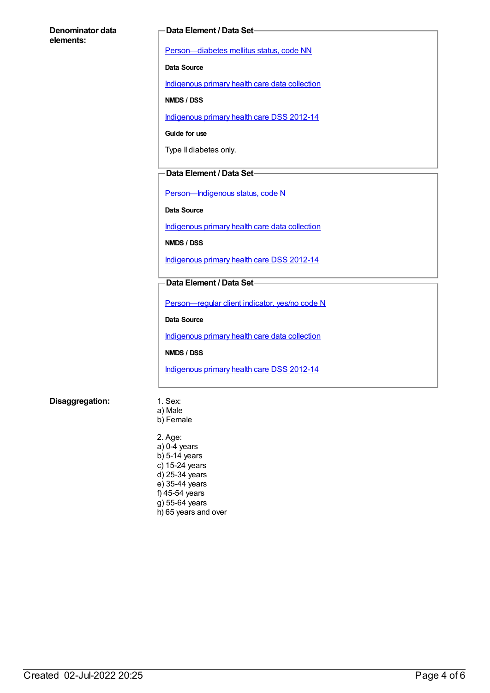#### **Denominator data elements:**

#### **Data Element / Data Set**

[Person—diabetes](https://meteor.aihw.gov.au/content/270194) mellitus status, code NN

**Data Source**

[Indigenous](https://meteor.aihw.gov.au/content/430643) primary health care data collection

**NMDS / DSS**

[Indigenous](https://meteor.aihw.gov.au/content/430629) primary health care DSS 2012-14

**Guide for use**

Type II diabetes only.

#### **Data Element / Data Set**

Person-Indigenous status, code N

**Data Source**

[Indigenous](https://meteor.aihw.gov.au/content/430643) primary health care data collection

**NMDS / DSS**

[Indigenous](https://meteor.aihw.gov.au/content/430629) primary health care DSS 2012-14

#### **Data Element / Data Set**

[Person—regular](https://meteor.aihw.gov.au/content/436639) client indicator, yes/no code N

**Data Source**

[Indigenous](https://meteor.aihw.gov.au/content/430643) primary health care data collection

**NMDS / DSS**

[Indigenous](https://meteor.aihw.gov.au/content/430629) primary health care DSS 2012-14

#### **Disaggregation:** 1. Sex:

- a) Male
- b) Female

2. Age: a) 0-4 years  $b)$  5-14 years c) 15-24 years d) 25-34 years e) 35-44 years f) 45-54 years  $g$ ) 55-64 years h) 65 years and over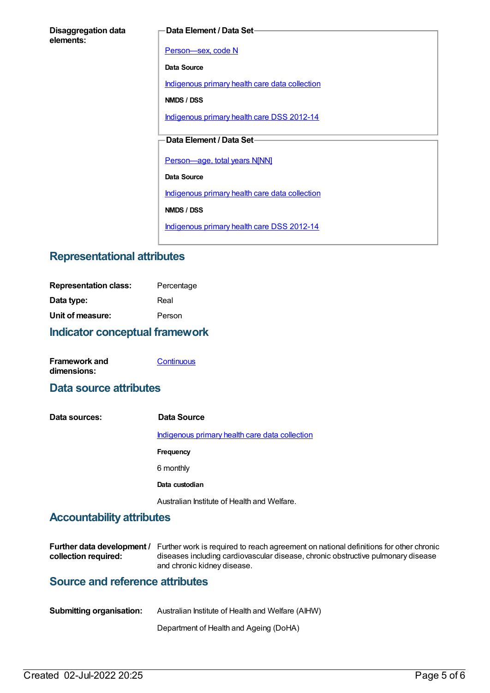#### **Data Element / Data Set**

[Person—sex,](https://meteor.aihw.gov.au/content/287316) code N

**Data Source**

[Indigenous](https://meteor.aihw.gov.au/content/430643) primary health care data collection

**NMDS / DSS**

[Indigenous](https://meteor.aihw.gov.au/content/430629) primary health care DSS 2012-14

#### **Data Element / Data Set**

[Person—age,](https://meteor.aihw.gov.au/content/303794) total years N[NN]

**Data Source**

[Indigenous](https://meteor.aihw.gov.au/content/430643) primary health care data collection

**NMDS / DSS**

[Indigenous](https://meteor.aihw.gov.au/content/430629) primary health care DSS 2012-14

## **Representational attributes**

| Indicator conceptual framework |            |
|--------------------------------|------------|
| Unit of measure:               | Person     |
| Data type:                     | Real       |
| <b>Representation class:</b>   | Percentage |

| <b>Framework and</b> | Continuous |
|----------------------|------------|
| dimensions:          |            |

### **Data source attributes**

**Data sources: Data Source** [Indigenous](https://meteor.aihw.gov.au/content/430643) primary health care data collection **Frequency** 6 monthly **Data custodian** Australian Institute of Health and Welfare.

### **Accountability attributes**

|                      | <b>Further data development</b> / Further work is required to reach agreement on national definitions for other chronic |
|----------------------|-------------------------------------------------------------------------------------------------------------------------|
| collection required: | diseases including cardiovascular disease, chronic obstructive pulmonary disease                                        |
|                      | and chronic kidney disease.                                                                                             |

## **Source and reference attributes**

| <b>Submitting organisation:</b> | Australian Institute of Health and Welfare (AIHW) |
|---------------------------------|---------------------------------------------------|
|                                 |                                                   |

Department of Health and Ageing (DoHA)